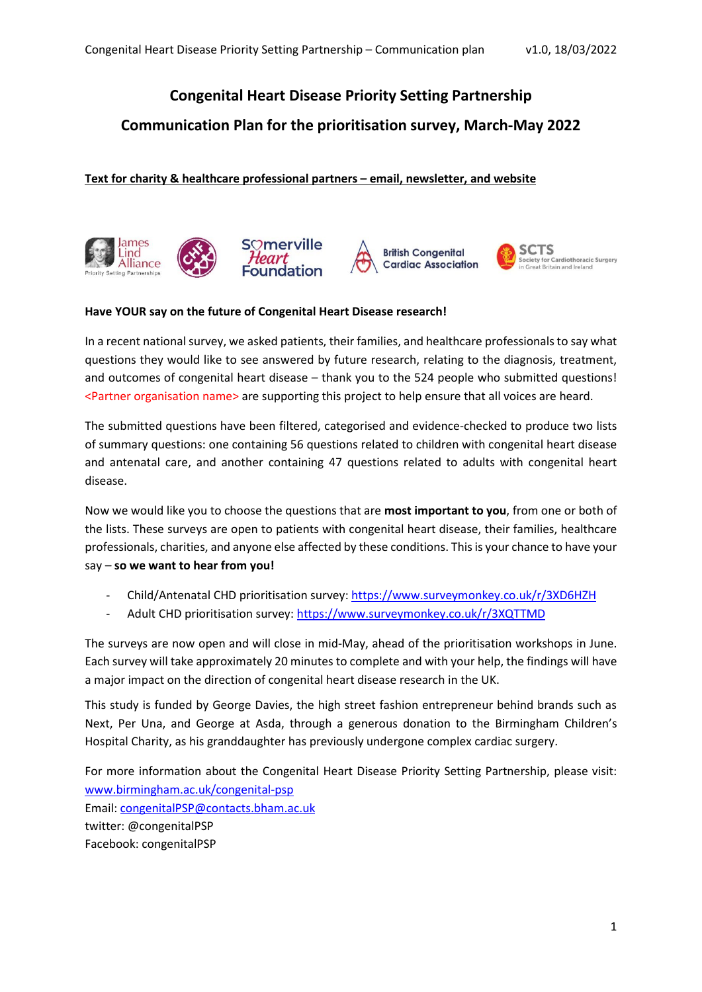# **Congenital Heart Disease Priority Setting Partnership**

## **Communication Plan for the prioritisation survey, March-May 2022**

### **Text for charity & healthcare professional partners – email, newsletter, and website**



#### **Have YOUR say on the future of Congenital Heart Disease research!**

In a recent national survey, we asked patients, their families, and healthcare professionals to say what questions they would like to see answered by future research, relating to the diagnosis, treatment, and outcomes of congenital heart disease – thank you to the 524 people who submitted questions! <Partner organisation name> are supporting this project to help ensure that all voices are heard.

The submitted questions have been filtered, categorised and evidence-checked to produce two lists of summary questions: one containing 56 questions related to children with congenital heart disease and antenatal care, and another containing 47 questions related to adults with congenital heart disease.

Now we would like you to choose the questions that are **most important to you**, from one or both of the lists. These surveys are open to patients with congenital heart disease, their families, healthcare professionals, charities, and anyone else affected by these conditions. This is your chance to have your say – **so we want to hear from you!**

- Child/Antenatal CHD prioritisation survey:<https://www.surveymonkey.co.uk/r/3XD6HZH>
- Adult CHD prioritisation survey: <https://www.surveymonkey.co.uk/r/3XQTTMD>

The surveys are now open and will close in mid-May, ahead of the prioritisation workshops in June. Each survey will take approximately 20 minutes to complete and with your help, the findings will have a major impact on the direction of congenital heart disease research in the UK.

This study is funded by George Davies, the high street fashion entrepreneur behind brands such as Next, Per Una, and George at Asda, through a generous donation to the Birmingham Children's Hospital Charity, as his granddaughter has previously undergone complex cardiac surgery.

For more information about the Congenital Heart Disease Priority Setting Partnership, please visit: [www.birmingham.ac.uk/congenital-psp](http://www.birmingham.ac.uk/congenital-psp) Email: [congenitalPSP@contacts.bham.ac.uk](mailto:congenitalPSP@contacts.bham.ac.uk) twitter: @congenitalPSP Facebook: congenitalPSP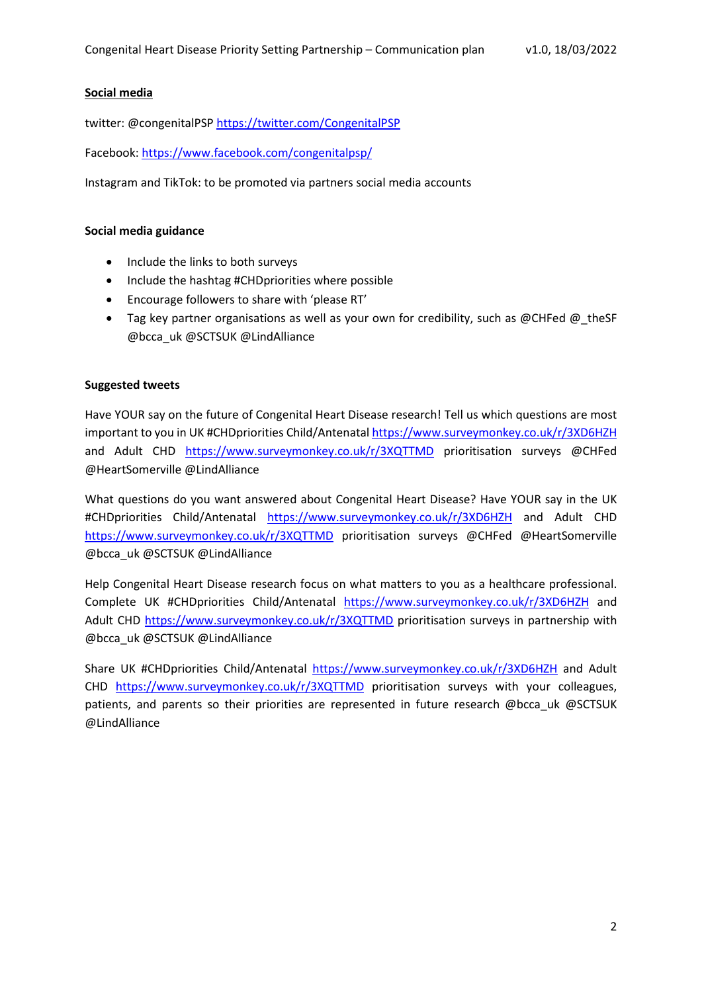#### **Social media**

twitter: @congenitalPS[P https://twitter.com/CongenitalPSP](https://twitter.com/CongenitalPSP)

Facebook:<https://www.facebook.com/congenitalpsp/>

Instagram and TikTok: to be promoted via partners social media accounts

#### **Social media guidance**

- Include the links to both surveys
- Include the hashtag #CHDpriorities where possible
- Encourage followers to share with 'please RT'
- Tag key partner organisations as well as your own for credibility, such as @CHFed @\_theSF @bcca\_uk @SCTSUK @LindAlliance

#### **Suggested tweets**

Have YOUR say on the future of Congenital Heart Disease research! Tell us which questions are most important to you in UK #CHDpriorities Child/Antenatal <https://www.surveymonkey.co.uk/r/3XD6HZH> and Adult CHD <https://www.surveymonkey.co.uk/r/3XQTTMD> prioritisation surveys @CHFed @HeartSomerville @LindAlliance

What questions do you want answered about Congenital Heart Disease? Have YOUR say in the UK #CHDpriorities Child/Antenatal <https://www.surveymonkey.co.uk/r/3XD6HZH> and Adult CHD <https://www.surveymonkey.co.uk/r/3XQTTMD> prioritisation surveys @CHFed @HeartSomerville @bcca\_uk @SCTSUK @LindAlliance

Help Congenital Heart Disease research focus on what matters to you as a healthcare professional. Complete UK #CHDpriorities Child/Antenatal <https://www.surveymonkey.co.uk/r/3XD6HZH> and Adult CHD<https://www.surveymonkey.co.uk/r/3XQTTMD> prioritisation surveys in partnership with @bcca\_uk @SCTSUK @LindAlliance

Share UK #CHDpriorities Child/Antenatal <https://www.surveymonkey.co.uk/r/3XD6HZH> and Adult CHD <https://www.surveymonkey.co.uk/r/3XQTTMD> prioritisation surveys with your colleagues, patients, and parents so their priorities are represented in future research @bcca\_uk @SCTSUK @LindAlliance